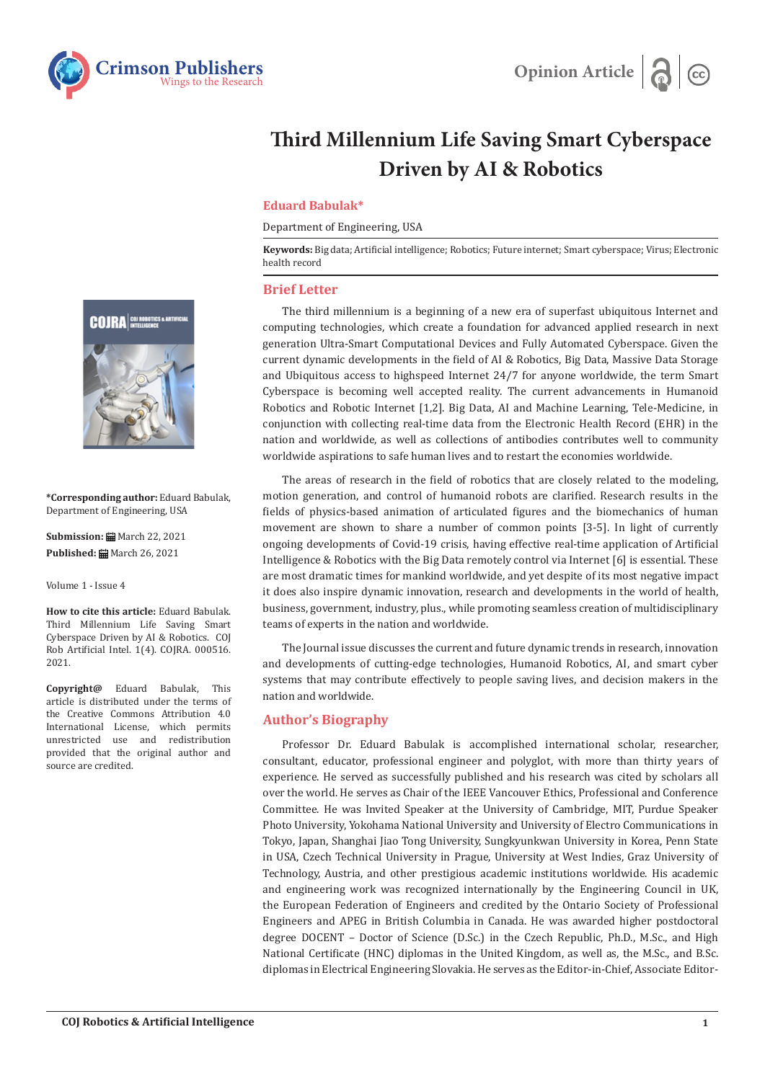



# **Third Millennium Life Saving Smart Cyberspace Driven by AI & Robotics**

### **Eduard Babulak\***

Department of Engineering, USA

**Keywords:** Big data; Artificial intelligence; Robotics; Future internet; Smart cyberspace; Virus; Electronic health record

#### **Brief Letter**

The third millennium is a beginning of a new era of superfast ubiquitous Internet and computing technologies, which create a foundation for advanced applied research in next generation Ultra-Smart Computational Devices and Fully Automated Cyberspace. Given the current dynamic developments in the field of AI & Robotics, Big Data, Massive Data Storage and Ubiquitous access to highspeed Internet 24/7 for anyone worldwide, the term Smart Cyberspace is becoming well accepted reality. The current advancements in Humanoid Robotics and Robotic Internet [1,2]. Big Data, AI and Machine Learning, Tele-Medicine, in conjunction with collecting real-time data from the Electronic Health Record (EHR) in the nation and worldwide, as well as collections of antibodies contributes well to community worldwide aspirations to safe human lives and to restart the economies worldwide.

The areas of research in the field of robotics that are closely related to the modeling, motion generation, and control of humanoid robots are clarified. Research results in the fields of physics-based animation of articulated figures and the biomechanics of human movement are shown to share a number of common points [3-5]. In light of currently ongoing developments of Covid-19 crisis, having effective real-time application of Artificial Intelligence & Robotics with the Big Data remotely control via Internet [6] is essential. These are most dramatic times for mankind worldwide, and yet despite of its most negative impact it does also inspire dynamic innovation, research and developments in the world of health, business, government, industry, plus., while promoting seamless creation of multidisciplinary teams of experts in the nation and worldwide.

The Journal issue discusses the current and future dynamic trends in research, innovation and developments of cutting-edge technologies, Humanoid Robotics, AI, and smart cyber systems that may contribute effectively to people saving lives, and decision makers in the nation and worldwide.

## **Author's Biography**

Professor Dr. Eduard Babulak is accomplished international scholar, researcher, consultant, educator, professional engineer and polyglot, with more than thirty years of experience. He served as successfully published and his research was cited by scholars all over the world. He serves as Chair of the IEEE Vancouver Ethics, Professional and Conference Committee. He was Invited Speaker at the University of Cambridge, MIT, Purdue Speaker Photo University, Yokohama National University and University of Electro Communications in Tokyo, Japan, Shanghai Jiao Tong University, Sungkyunkwan University in Korea, Penn State in USA, Czech Technical University in Prague, University at West Indies, Graz University of Technology, Austria, and other prestigious academic institutions worldwide. His academic and engineering work was recognized internationally by the Engineering Council in UK, the European Federation of Engineers and credited by the Ontario Society of Professional Engineers and APEG in British Columbia in Canada. He was awarded higher postdoctoral degree DOCENT – Doctor of Science (D.Sc.) in the Czech Republic, Ph.D., M.Sc., and High National Certificate (HNC) diplomas in the United Kingdom, as well as, the M.Sc., and B.Sc. diplomas in Electrical Engineering Slovakia. He serves as the Editor-in-Chief, Associate Editor-



**\*Corresponding author:** Eduard Babulak, Department of Engineering, USA

**Submission: 曲** March 22, 2021 **Published:** March 26, 2021

Volume 1 - Issue 4

**How to cite this article:** Eduard Babulak. Third Millennium Life Saving Smart Cyberspace Driven by AI & Robotics. COJ Rob Artificial Intel. 1(4). COJRA. 000516. 2021.

**Copyright@** Eduard Babulak, This article is distributed under the terms of the Creative Commons Attribution 4.0 International License, which permits unrestricted use and redistribution provided that the original author and source are credited.